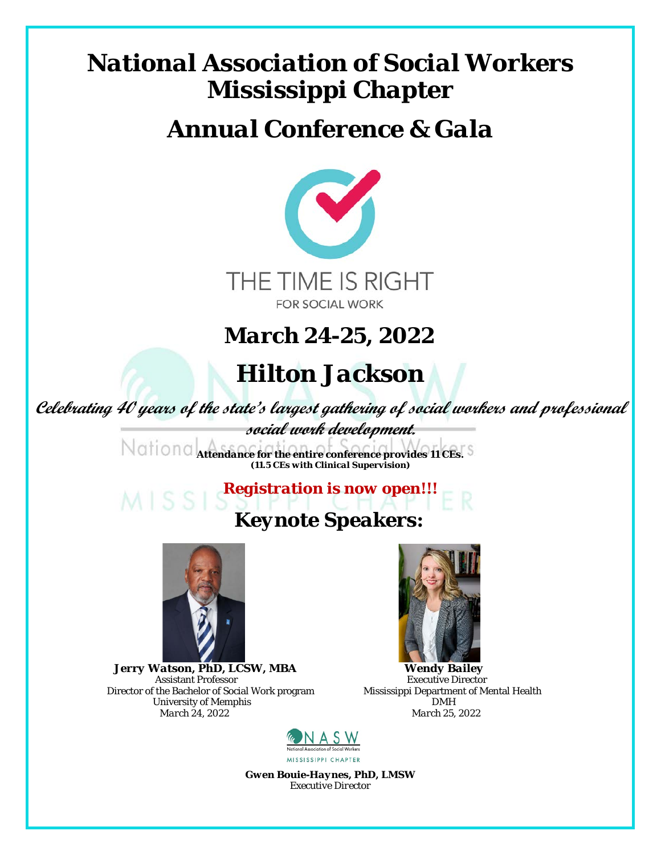## *National Association of Social Workers Mississippi Chapter*

#### *Annual Conference & Gala*



*March 24-25, 2022*

### *Hilton Jackson*

**Celebrating 40 years of the state's largest gathering of social workers and professional**

**social work development.** *Attendance for the entire conference provides 11 CEs. (11.5 CEs with Clinical Supervision)*

## *Registration is now open!!! Keynote Speakers:*



 *<i>Jerry Watson, PhD, LCSW, MBA Wendy Bailey Assistant Professor Bailey Executive Director* Director of the Bachelor of Social Work program Mississippi Department of Mental Health Mental Health of Mental Health DMH *March 24. 2022 March 24. 2022 March 24. 2022 March 24, 2022 March 25, 2022*



Assistant Professor<br>
The Bachelor of Social Work program<br>
Mississippi Department of Mental Health



*Gwen Bouie-Haynes, PhD, LMSW Executive Director*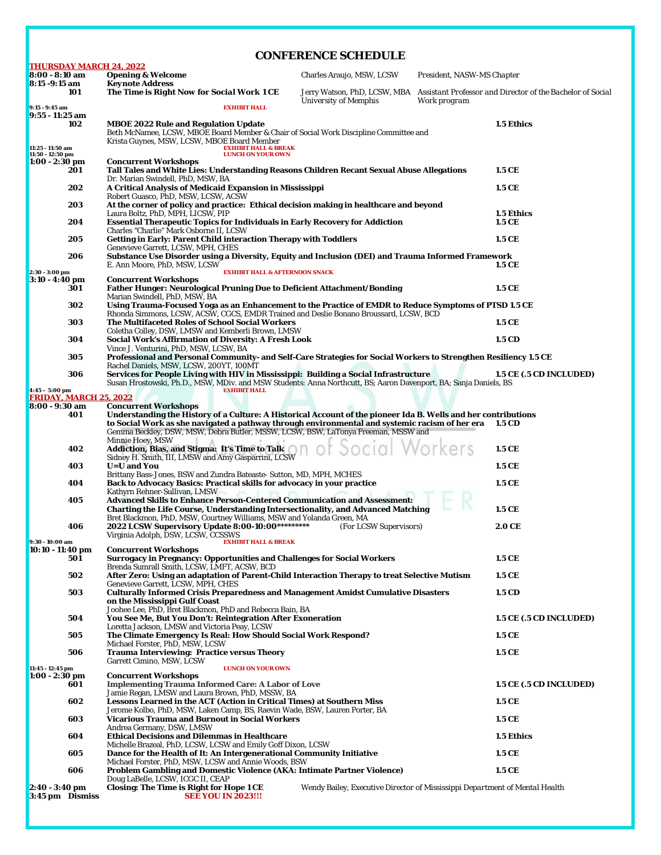| <b>CONFERENCE SCHEDULE</b>                                                                              |                                                                                                                                                                                                                  |                                                                                    |                            |                                                            |  |  |
|---------------------------------------------------------------------------------------------------------|------------------------------------------------------------------------------------------------------------------------------------------------------------------------------------------------------------------|------------------------------------------------------------------------------------|----------------------------|------------------------------------------------------------|--|--|
| <b>THURSDAY MARCH 24, 2022</b>                                                                          |                                                                                                                                                                                                                  |                                                                                    |                            |                                                            |  |  |
| 8:00 - 8:10 am<br>8:15 -9:15 am                                                                         | <b>Opening &amp; Welcome</b><br><b>Keynote Address</b>                                                                                                                                                           | Charles Araujo, MSW, LCSW                                                          | President, NASW-MS Chapter |                                                            |  |  |
| 101                                                                                                     | The <i>Time is Right Now for Social Work</i> 1 CE                                                                                                                                                                | Jerry Watson, PhD, LCSW, MBA                                                       |                            | Assistant Professor and Director of the Bachelor of Social |  |  |
| $9:15 - 9:45$ am                                                                                        | <b>EXHIBIT HALL</b>                                                                                                                                                                                              | <b>University of Memphis</b>                                                       | Work program               |                                                            |  |  |
| $9:55 - 11:25$ am<br>102                                                                                |                                                                                                                                                                                                                  |                                                                                    |                            |                                                            |  |  |
|                                                                                                         | 1.5 Ethics<br><b>MBOE 2022 Rule and Regulation Update</b><br>Beth McNamee, LCSW, MBOE Board Member & Chair of Social Work Discipline Committee and                                                               |                                                                                    |                            |                                                            |  |  |
| 11:25 - 11:50 am                                                                                        | Krista Guynes, MSW, LCSW, MBOE Board Member<br><b>EXHIBIT HALL &amp; BREAK</b>                                                                                                                                   |                                                                                    |                            |                                                            |  |  |
| 11:50 - 12:50 pm<br>$1:00 - 2:30$ pm                                                                    | <b>LUNCH ON YOUR OWN</b>                                                                                                                                                                                         |                                                                                    |                            |                                                            |  |  |
| 201                                                                                                     | <b>Concurrent Workshops</b><br>Tall Tales and White Lies: Understanding Reasons Children Recant Sexual Abuse Allegations<br>1.5 CE                                                                               |                                                                                    |                            |                                                            |  |  |
|                                                                                                         | Dr. Marian Swindell, PhD, MSW, BA                                                                                                                                                                                |                                                                                    |                            |                                                            |  |  |
| 202                                                                                                     | A Critical Analysis of Medicaid Expansion in Mississippi<br>1.5 CE<br>Robert Guasco, PhD, MSW, LCSW, ACSW                                                                                                        |                                                                                    |                            |                                                            |  |  |
| 203                                                                                                     | At the corner of policy and practice: Ethical decision making in healthcare and beyond                                                                                                                           |                                                                                    |                            |                                                            |  |  |
| 204                                                                                                     | Laura Boltz, PhD, MPH, LICSW, PIP<br>1.5 Ethics<br><b>Essential Therapeutic Topics for Individuals in Early Recovery for Addiction</b><br>1.5 CE                                                                 |                                                                                    |                            |                                                            |  |  |
|                                                                                                         | Charles "Charlie" Mark Osborne II, LCSW                                                                                                                                                                          |                                                                                    |                            |                                                            |  |  |
| 205                                                                                                     | <b>Getting in Early: Parent Child interaction Therapy with Toddlers</b><br>1.5 CE<br>Genevieve Garrett, LCSW, MPH, CHES                                                                                          |                                                                                    |                            |                                                            |  |  |
| 206                                                                                                     | Substance Use Disorder using a Diversity, Equity and Inclusion (DEI) and Trauma Informed Framework                                                                                                               |                                                                                    |                            |                                                            |  |  |
| 1.5 CE<br>E. Ann Moore, PhD, MSW, LCSW<br>$2:30 - 3:00$ pm<br><b>EXHIBIT HALL &amp; AFTERNOON SNACK</b> |                                                                                                                                                                                                                  |                                                                                    |                            |                                                            |  |  |
| $3:10 - 4:40$ pm                                                                                        | <b>Concurrent Workshops</b>                                                                                                                                                                                      |                                                                                    |                            |                                                            |  |  |
| 301                                                                                                     | Father Hunger: Neurological Pruning Due to Deficient Attachment/Bonding<br>1.5 CE<br>Marian Swindell, PhD, MSW, BA                                                                                               |                                                                                    |                            |                                                            |  |  |
| 302                                                                                                     | Using Trauma-Focused Yoga as an Enhancement to the Practice of EMDR to Reduce Symptoms of PTSD 1.5 CE                                                                                                            |                                                                                    |                            |                                                            |  |  |
| 303                                                                                                     | Rhonda Simmons, LCSW, ACSW, CGCS, EMDR Trained and Deslie Bonano Broussard, LCSW, BCD<br>The Multifaceted Roles of School Social Workers                                                                         |                                                                                    |                            | 1.5 CE                                                     |  |  |
|                                                                                                         | Coletha Colley, DSW, LMSW and Kemberli Brown, LMSW                                                                                                                                                               |                                                                                    |                            |                                                            |  |  |
| 304                                                                                                     | <b>Social Work's Affirmation of Diversity: A Fresh Look</b><br>Vince J. Venturini, PhD, MSW, LCSW, BA                                                                                                            |                                                                                    |                            | 1.5 CD                                                     |  |  |
| 305                                                                                                     | Professional and Personal Community- and Self-Care Strategies for Social Workers to Strengthen Resiliency 1.5 CE                                                                                                 |                                                                                    |                            |                                                            |  |  |
| 306                                                                                                     | Rachel Daniels, MSW, LCSW, 200YT, 100MT<br>Services for People Living with HIV in Mississippi: Building a Social Infrastructure                                                                                  |                                                                                    |                            | 1.5 CE (.5 CD INCLUDED)                                    |  |  |
|                                                                                                         | Susan Hrostowski, Ph.D., MSW, MDiv. and <i>MSW Students:</i> Anna Northcutt, BS; Aaron Davenport, BA; Sanja Daniels, BS                                                                                          |                                                                                    |                            |                                                            |  |  |
| $4:45 - 5:00$ pm<br><b>FRIDAY, MARCH 25, 2022</b>                                                       | <b>EXHIBIT HALL</b>                                                                                                                                                                                              |                                                                                    |                            |                                                            |  |  |
| 8:00 - 9:30 am                                                                                          | <b>Concurrent Workshops</b>                                                                                                                                                                                      |                                                                                    |                            |                                                            |  |  |
| 401                                                                                                     | Understanding the History of a Culture: A Historical Account of the pioneer Ida B. Wells and her contributions<br>to Social Work as she navigated a pathway through environmental and systemic racism of her era |                                                                                    |                            | 1.5 CD                                                     |  |  |
|                                                                                                         | Gemma Beckley, DSW, MSW, Debra Butler, MSSW, LCSW, BSW, LaTonya Freeman, MSSW and                                                                                                                                |                                                                                    |                            |                                                            |  |  |
| 402                                                                                                     | Minnie Hoey, MSW<br>Addiction, Bias, and Stigma: It's Time to Talk                                                                                                                                               |                                                                                    | cial Workers               | 1.5 CE                                                     |  |  |
|                                                                                                         | Sidney H. Smith, III, LMSW and Amy Gasparrini, LCSW                                                                                                                                                              |                                                                                    |                            |                                                            |  |  |
| 403                                                                                                     | <b>U=U</b> and You<br>Brittany Bass-Jones, BSW and Zundra Bateaste- Sutton, MD, MPH, MCHES                                                                                                                       |                                                                                    |                            | 1.5 CE                                                     |  |  |
| 404                                                                                                     | <b>Back to Advocacy Basics: Practical skills for advocacy in your practice</b><br>1.5 CE                                                                                                                         |                                                                                    |                            |                                                            |  |  |
| 405                                                                                                     | Kathyrn Rehner-Sullivan, LMSW<br><b>Advanced Skills to Enhance Person-Centered Communication and Assessment:</b>                                                                                                 |                                                                                    |                            |                                                            |  |  |
|                                                                                                         | <b>Charting the Life Course, Understanding Intersectionality, and Advanced Matching</b>                                                                                                                          |                                                                                    |                            | 1.5 CE                                                     |  |  |
| 406                                                                                                     | Bret Blackmon, PhD, MSW, Courtney Williams, MSW and Yolanda Green, MA<br>2022 LCSW Supervisory Update 8:00-10:00**********                                                                                       | (For LCSW Supervisors)                                                             |                            | 2.0 CE                                                     |  |  |
|                                                                                                         | Virginia Adolph, DSW, LCSW, CCSSWS                                                                                                                                                                               |                                                                                    |                            |                                                            |  |  |
| 9:30 - 10:00 am<br>$10:10 - 11:40$ pm                                                                   | <b>EXHIBIT HALL &amp; BREAK</b><br><b>Concurrent Workshops</b>                                                                                                                                                   |                                                                                    |                            |                                                            |  |  |
| 501                                                                                                     | <b>Surrogacy in Pregnancy: Opportunities and Challenges for Social Workers</b>                                                                                                                                   |                                                                                    |                            | 1.5 CE                                                     |  |  |
| 502                                                                                                     | Brenda Sumrall Smith, LCSW, LMFT, ACSW, BCD<br>After Zero: Using an adaptation of Parent-Child Interaction Therapy to treat Selective Mutism                                                                     |                                                                                    |                            | 1.5 CE                                                     |  |  |
|                                                                                                         | Genevieve Garrett, LCSW, MPH, CHES                                                                                                                                                                               |                                                                                    |                            |                                                            |  |  |
| 503                                                                                                     | <b>Culturally Informed Crisis Preparedness and Management Amidst Cumulative Disasters</b><br>on the Mississippi Gulf Coast                                                                                       |                                                                                    |                            | 1.5 CD                                                     |  |  |
|                                                                                                         | Joohee Lee, PhD, Bret Blackmon, PhD and Rebecca Bain, BA                                                                                                                                                         |                                                                                    |                            |                                                            |  |  |
| 504                                                                                                     | You See Me, But You Don't: Reintegration After Exoneration<br>Loretta Jackson, LMSW and Victoria Peay, LCSW                                                                                                      |                                                                                    |                            | 1.5 CE (.5 CD INCLUDED)                                    |  |  |
| 505                                                                                                     | The Climate Emergency Is Real: How Should Social Work Respond?                                                                                                                                                   |                                                                                    |                            | 1.5 CE                                                     |  |  |
| 506                                                                                                     | Michael Forster, PhD, MSW, LCSW<br><b>Trauma Interviewing: Practice versus Theory</b>                                                                                                                            |                                                                                    |                            | 1.5 CE                                                     |  |  |
|                                                                                                         | Garrett Cimino, MSW, LCSW                                                                                                                                                                                        |                                                                                    |                            |                                                            |  |  |
| 11:45 - 12:45 pm<br>$1:00 - 2:30$ pm                                                                    | <b>LUNCH ON YOUR OWN</b><br><b>Concurrent Workshops</b>                                                                                                                                                          |                                                                                    |                            |                                                            |  |  |
| 601                                                                                                     | <b>Implementing Trauma Informed Care: A Labor of Love</b>                                                                                                                                                        |                                                                                    |                            | 1.5 CE (.5 CD INCLUDED)                                    |  |  |
| 602                                                                                                     | Jamie Regan, LMSW and Laura Brown, PhD, MSSW, BA<br>Lessons Learned in the ACT (Action in Critical Times) at Southern Miss                                                                                       |                                                                                    |                            | 1.5 CE                                                     |  |  |
|                                                                                                         | Jerome Kolbo, PhD, MSW, Laken Camp, BS, Raevin Wade, BSW, Lauren Porter, BA                                                                                                                                      |                                                                                    |                            |                                                            |  |  |
| 603                                                                                                     | <b>Vicarious Trauma and Burnout in Social Workers</b><br>1.5 CE<br>Andrea Germany, DSW, LMSW                                                                                                                     |                                                                                    |                            |                                                            |  |  |
| 604                                                                                                     | <b>Ethical Decisions and Dilemmas in Healthcare</b><br>1.5 Ethics                                                                                                                                                |                                                                                    |                            |                                                            |  |  |
| 605                                                                                                     | Michelle Brazeal, PhD, LCSW, LCSW and Emily Goff Dixon, LCSW<br>Dance for the Health of It: An Intergenerational Community Initiative                                                                            |                                                                                    |                            | 1.5 CE                                                     |  |  |
|                                                                                                         | Michael Forster, PhD, MSW, LCSW and Annie Woods, BSW                                                                                                                                                             |                                                                                    |                            |                                                            |  |  |
| 606                                                                                                     | Problem Gambling and Domestic Violence (AKA: Intimate Partner Violence)<br>Doug LaBelle, LCSW, ICGC II, CEAP                                                                                                     |                                                                                    |                            | 1.5 CE                                                     |  |  |
| $2:40 - 3:40$ pm                                                                                        | <b>Closing: The Time is Right for Hope 1 CE</b>                                                                                                                                                                  | Wendy Bailey, <i>Executive Director of Mississippi Department of Mental Health</i> |                            |                                                            |  |  |
| 3:45 pm Dismiss                                                                                         | <b>SEE YOU IN 2023!!!</b>                                                                                                                                                                                        |                                                                                    |                            |                                                            |  |  |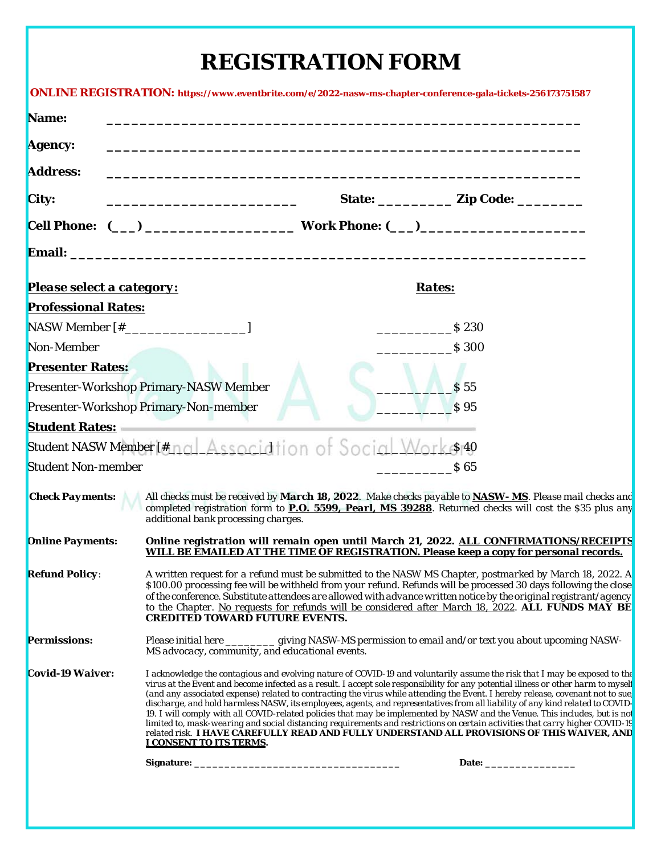#### **REGISTRATION FORM**

|                                                                  |                                                                                                                                                                                                                                                                                                                                                                                                                                                                                                                                                                                                                                                                                                                                                                                                                                                                                                                              | ONLINE REGISTRATION: https://www.eventbrite.com/e/2022-nasw-ms-chapter-conference-gala-tickets-256173751587                                                                                                                     |  |  |
|------------------------------------------------------------------|------------------------------------------------------------------------------------------------------------------------------------------------------------------------------------------------------------------------------------------------------------------------------------------------------------------------------------------------------------------------------------------------------------------------------------------------------------------------------------------------------------------------------------------------------------------------------------------------------------------------------------------------------------------------------------------------------------------------------------------------------------------------------------------------------------------------------------------------------------------------------------------------------------------------------|---------------------------------------------------------------------------------------------------------------------------------------------------------------------------------------------------------------------------------|--|--|
| Name:                                                            |                                                                                                                                                                                                                                                                                                                                                                                                                                                                                                                                                                                                                                                                                                                                                                                                                                                                                                                              |                                                                                                                                                                                                                                 |  |  |
| <b>Agency:</b>                                                   |                                                                                                                                                                                                                                                                                                                                                                                                                                                                                                                                                                                                                                                                                                                                                                                                                                                                                                                              |                                                                                                                                                                                                                                 |  |  |
| <b>Address:</b>                                                  |                                                                                                                                                                                                                                                                                                                                                                                                                                                                                                                                                                                                                                                                                                                                                                                                                                                                                                                              |                                                                                                                                                                                                                                 |  |  |
| City:                                                            |                                                                                                                                                                                                                                                                                                                                                                                                                                                                                                                                                                                                                                                                                                                                                                                                                                                                                                                              | State: ____________ Zip Code: _________                                                                                                                                                                                         |  |  |
|                                                                  |                                                                                                                                                                                                                                                                                                                                                                                                                                                                                                                                                                                                                                                                                                                                                                                                                                                                                                                              |                                                                                                                                                                                                                                 |  |  |
|                                                                  |                                                                                                                                                                                                                                                                                                                                                                                                                                                                                                                                                                                                                                                                                                                                                                                                                                                                                                                              |                                                                                                                                                                                                                                 |  |  |
| <b>Please select a category:</b>                                 |                                                                                                                                                                                                                                                                                                                                                                                                                                                                                                                                                                                                                                                                                                                                                                                                                                                                                                                              | <b>Rates:</b>                                                                                                                                                                                                                   |  |  |
| <b>Professional Rates:</b>                                       |                                                                                                                                                                                                                                                                                                                                                                                                                                                                                                                                                                                                                                                                                                                                                                                                                                                                                                                              |                                                                                                                                                                                                                                 |  |  |
|                                                                  |                                                                                                                                                                                                                                                                                                                                                                                                                                                                                                                                                                                                                                                                                                                                                                                                                                                                                                                              | $\frac{1}{2}$ \$ 230                                                                                                                                                                                                            |  |  |
| Non-Member                                                       |                                                                                                                                                                                                                                                                                                                                                                                                                                                                                                                                                                                                                                                                                                                                                                                                                                                                                                                              | $\frac{1}{2}$ \$ 300                                                                                                                                                                                                            |  |  |
| <b>Presenter Rates:</b>                                          |                                                                                                                                                                                                                                                                                                                                                                                                                                                                                                                                                                                                                                                                                                                                                                                                                                                                                                                              |                                                                                                                                                                                                                                 |  |  |
| <b>Presenter-Workshop Primary-NASW Member</b><br>S <sub>55</sub> |                                                                                                                                                                                                                                                                                                                                                                                                                                                                                                                                                                                                                                                                                                                                                                                                                                                                                                                              |                                                                                                                                                                                                                                 |  |  |
| Presenter-Workshop Primary-Non-member<br>$\sqrt{S}95$            |                                                                                                                                                                                                                                                                                                                                                                                                                                                                                                                                                                                                                                                                                                                                                                                                                                                                                                                              |                                                                                                                                                                                                                                 |  |  |
| <b>Student Rates:</b>                                            |                                                                                                                                                                                                                                                                                                                                                                                                                                                                                                                                                                                                                                                                                                                                                                                                                                                                                                                              |                                                                                                                                                                                                                                 |  |  |
| Student NASW Member [#nal Association of Social Works 40         |                                                                                                                                                                                                                                                                                                                                                                                                                                                                                                                                                                                                                                                                                                                                                                                                                                                                                                                              |                                                                                                                                                                                                                                 |  |  |
| <b>Student Non-member</b>                                        |                                                                                                                                                                                                                                                                                                                                                                                                                                                                                                                                                                                                                                                                                                                                                                                                                                                                                                                              | S <sub>65</sub>                                                                                                                                                                                                                 |  |  |
| <b>Check Payments:</b>                                           | additional bank processing charges.                                                                                                                                                                                                                                                                                                                                                                                                                                                                                                                                                                                                                                                                                                                                                                                                                                                                                          | All checks must be received by March 18, 2022. Make checks payable to <b>NASW-MS</b> . Please mail checks and<br>completed registration form to <b>P.O. 5599, Pearl, MS 39288</b> . Returned checks will cost the \$35 plus any |  |  |
| <b>Online Payments:</b>                                          |                                                                                                                                                                                                                                                                                                                                                                                                                                                                                                                                                                                                                                                                                                                                                                                                                                                                                                                              | Online registration will remain open until March 21, 2022. ALL CONFIRMATIONS/RECEIPTS<br>WILL BE EMAILED AT THE TIME OF REGISTRATION. Please keep a copy for personal records.                                                  |  |  |
| <b>Refund Policy:</b>                                            | A written request for a refund must be submitted to the NASW MS Chapter, postmarked by March 18, 2022. A<br>\$100.00 processing fee will be withheld from your refund. Refunds will be processed 30 days following the close<br>of the conference. Substitute attendees are allowed with advance written notice by the original registrant/agency<br>to the Chapter. No requests for refunds will be considered after March 18, 2022. ALL FUNDS MAY BE<br><b>CREDITED TOWARD FUTURE EVENTS.</b>                                                                                                                                                                                                                                                                                                                                                                                                                              |                                                                                                                                                                                                                                 |  |  |
| <b>Permissions:</b>                                              | Please initial here ___________ giving NASW-MS permission to email and/or text you about upcoming NASW-<br>MS advocacy, community, and educational events.                                                                                                                                                                                                                                                                                                                                                                                                                                                                                                                                                                                                                                                                                                                                                                   |                                                                                                                                                                                                                                 |  |  |
| Covid-19 Waiver:                                                 | I acknowledge the contagious and evolving nature of COVID-19 and voluntarily assume the risk that I may be exposed to the<br>virus at the Event and become infected as a result. I accept sole responsibility for any potential illness or other harm to mysel<br>(and any associated expense) related to contracting the virus while attending the Event. I hereby release, covenant not to sue,<br>discharge, and hold harmless NASW, its employees, agents, and representatives from all liability of any kind related to COVID-<br>19. I will comply with all COVID-related policies that may be implemented by NASW and the Venue. This includes, but is not<br>limited to, mask-wearing and social distancing requirements and restrictions on certain activities that carry higher COVID-19<br>related risk. I HAVE CAREFULLY READ AND FULLY UNDERSTAND ALL PROVISIONS OF THIS WAIVER, AND<br>I CONSENT TO ITS TERMS. |                                                                                                                                                                                                                                 |  |  |
|                                                                  |                                                                                                                                                                                                                                                                                                                                                                                                                                                                                                                                                                                                                                                                                                                                                                                                                                                                                                                              |                                                                                                                                                                                                                                 |  |  |
|                                                                  |                                                                                                                                                                                                                                                                                                                                                                                                                                                                                                                                                                                                                                                                                                                                                                                                                                                                                                                              |                                                                                                                                                                                                                                 |  |  |